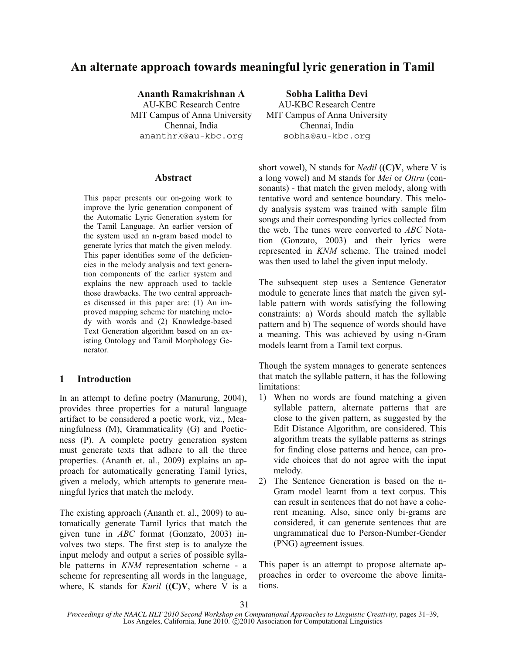# **An alternate approach towards meaningful lyric generation in Tamil**

**Ananth Ramakrishnan A Sobha Lalitha Devi**  AU-KBC Research Centre MIT Campus of Anna University Chennai, India ananthrk@au-kbc.org sobha@au-kbc.org

### **Abstract**

This paper presents our on-going work to improve the lyric generation component of the Automatic Lyric Generation system for the Tamil Language. An earlier version of the system used an n-gram based model to generate lyrics that match the given melody. This paper identifies some of the deficiencies in the melody analysis and text generation components of the earlier system and explains the new approach used to tackle those drawbacks. The two central approaches discussed in this paper are: (1) An improved mapping scheme for matching melody with words and (2) Knowledge-based Text Generation algorithm based on an existing Ontology and Tamil Morphology Generator.

# **1 Introduction**

In an attempt to define poetry (Manurung, 2004), provides three properties for a natural language artifact to be considered a poetic work, viz., Meaningfulness (M), Grammaticality (G) and Poeticness (P). A complete poetry generation system must generate texts that adhere to all the three properties. (Ananth et. al., 2009) explains an approach for automatically generating Tamil lyrics, given a melody, which attempts to generate meaningful lyrics that match the melody.

The existing approach (Ananth et. al., 2009) to automatically generate Tamil lyrics that match the given tune in *ABC* format (Gonzato, 2003) involves two steps. The first step is to analyze the input melody and output a series of possible syllable patterns in *KNM* representation scheme - a scheme for representing all words in the language, where, K stands for *Kuril* (**(C)V**, where V is a

AU-KBC Research Centre MIT Campus of Anna University Chennai, India

short vowel), N stands for *Nedil* (**(C)V**, where V is a long vowel) and M stands for *Mei* or *Ottru* (consonants) - that match the given melody, along with tentative word and sentence boundary. This melody analysis system was trained with sample film songs and their corresponding lyrics collected from the web. The tunes were converted to *ABC* Notation (Gonzato, 2003) and their lyrics were represented in *KNM* scheme. The trained model was then used to label the given input melody.

The subsequent step uses a Sentence Generator module to generate lines that match the given syllable pattern with words satisfying the following constraints: a) Words should match the syllable pattern and b) The sequence of words should have a meaning. This was achieved by using n-Gram models learnt from a Tamil text corpus.

Though the system manages to generate sentences that match the syllable pattern, it has the following limitations:

- 1) When no words are found matching a given syllable pattern, alternate patterns that are close to the given pattern, as suggested by the Edit Distance Algorithm, are considered. This algorithm treats the syllable patterns as strings for finding close patterns and hence, can provide choices that do not agree with the input melody.
- 2) The Sentence Generation is based on the n-Gram model learnt from a text corpus. This can result in sentences that do not have a coherent meaning. Also, since only bi-grams are considered, it can generate sentences that are ungrammatical due to Person-Number-Gender (PNG) agreement issues.

This paper is an attempt to propose alternate approaches in order to overcome the above limitations.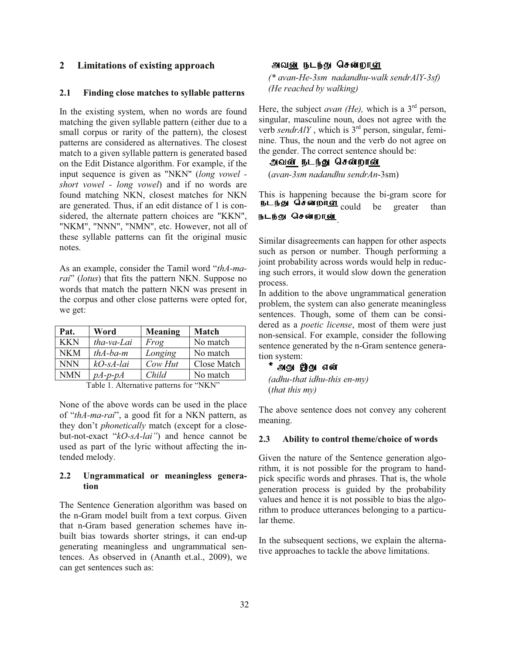# **2 Limitations of existing approach**

#### **2.1 Finding close matches to syllable patterns**

In the existing system, when no words are found matching the given syllable pattern (either due to a small corpus or rarity of the pattern), the closest patterns are considered as alternatives. The closest match to a given syllable pattern is generated based on the Edit Distance algorithm. For example, if the input sequence is given as "NKN" (*long vowel short vowel - long vowel*) and if no words are found matching NKN, closest matches for NKN are generated. Thus, if an edit distance of 1 is considered, the alternate pattern choices are "KKN", "NKM", "NNN", "NMN", etc. However, not all of these syllable patterns can fit the original music notes.

As an example, consider the Tamil word "*thA-marai*" (*lotus*) that fits the pattern NKN. Suppose no words that match the pattern NKN was present in the corpus and other close patterns were opted for, we get:

| Pat. | Word        | Meaning | Match       |
|------|-------------|---------|-------------|
| KKN  | tha-va-Lai  | Frog    | No match    |
| NKM  | $thA-ba-m$  | Longing | No match    |
| NNN  | $kO-sA-lai$ | Cow Hut | Close Match |
| NMN  | $pA-p-pA$   | Child   | No match    |
| .    |             |         |             |

Table 1. Alternative patterns for "NKN"

None of the above words can be used in the place of "*thA-ma-rai*", a good fit for a NKN pattern, as they don't *phonetically* match (except for a closebut-not-exact "*kO-sA-lai"*) and hence cannot be used as part of the lyric without affecting the intended melody.

### **2.2 Ungrammatical or meaningless generation**

The Sentence Generation algorithm was based on the n-Gram model built from a text corpus. Given that n-Gram based generation schemes have inbuilt bias towards shorter strings, it can end-up generating meaningless and ungrammatical sentences. As observed in (Ananth et.al., 2009), we can get sentences such as:

# அவன் நடந்து சென்றாள்

*(\* avan-He-3sm nadandhu-walk sendrAlY-3sf) (He reached by walking)* 

Here, the subject *avan (He)*, which is a  $3<sup>rd</sup>$  person, singular, masculine noun, does not agree with the verb *sendrAlY*, which is 3<sup>rd</sup> person, singular, feminine. Thus, the noun and the verb do not agree on the gender. The correct sentence should be:

#### அவன் நடந்து சென்றா<u>ன்</u>

(*avan-3sm nadandhu sendrAn*-3sm)

This is happening because the bi-gram score for **EXAMPLE COULD EXAMPLE THIS IS DEPT.**<br> **EXAMPLE COULD** be greater than .

Similar disagreements can happen for other aspects such as person or number. Though performing a joint probability across words would help in reducing such errors, it would slow down the generation process.

In addition to the above ungrammatical generation problem, the system can also generate meaningless sentences. Though, some of them can be considered as a *poetic license*, most of them were just non-sensical. For example, consider the following sentence generated by the n-Gram sentence generation system:

### \* அது இது என்

*(adhu-that idhu-this en-my)*  (*that this my)* 

The above sentence does not convey any coherent meaning.

#### **2.3 Ability to control theme/choice of words**

Given the nature of the Sentence generation algorithm, it is not possible for the program to handpick specific words and phrases. That is, the whole generation process is guided by the probability values and hence it is not possible to bias the algorithm to produce utterances belonging to a particular theme.

In the subsequent sections, we explain the alternative approaches to tackle the above limitations.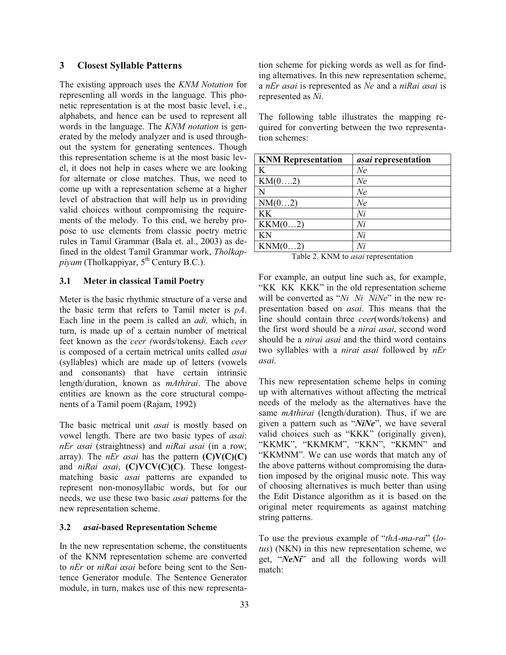### **3 Closest Syllable Patterns**

The existing approach uses the *KNM Notation* for representing all words in the language. This phonetic representation is at the most basic level, i.e., alphabets, and hence can be used to represent all words in the language. The *KNM notation* is generated by the melody analyzer and is used throughout the system for generating sentences. Though this representation scheme is at the most basic level, it does not help in cases where we are looking for alternate or close matches. Thus, we need to come up with a representation scheme at a higher level of abstraction that will help us in providing valid choices without compromising the requirements of the melody. To this end, we hereby propose to use elements from classic poetry metric rules in Tamil Grammar (Bala et. al., 2003) as defined in the oldest Tamil Grammar work, *Tholkappiyam* (Tholkappiyar, 5<sup>th</sup> Century B.C.).

#### **3.1 Meter in classical Tamil Poetry**

Meter is the basic rhythmic structure of a verse and the basic term that refers to Tamil meter is *pA*. Each line in the poem is called an *adi,* which, in turn, is made up of a certain number of metrical feet known as the *ceer (*words/tokens*)*. Each *ceer* is composed of a certain metrical units called *asai* (syllables) which are made up of letters (vowels and consonants) that have certain intrinsic length/duration, known as *mAthirai*. The above entities are known as the core structural components of a Tamil poem (Rajam, 1992)

The basic metrical unit *asai* is mostly based on vowel length. There are two basic types of *asai*: *nEr asai* (straightness) and *niRai asai* (in a row; array). The *nEr asai* has the pattern **(C)V(C)(C)** and *niRai asai*, **(C)VCV(C)(C)**. These longestmatching basic *asai* patterns are expanded to represent non-monosyllabic words, but for our needs, we use these two basic *asai* patterns for the new representation scheme.

#### **3.2** *asai***-based Representation Scheme**

In the new representation scheme, the constituents of the KNM representation scheme are converted to *nEr* or *niRai asai* before being sent to the Sentence Generator module. The Sentence Generator module, in turn, makes use of this new representation scheme for picking words as well as for finding alternatives. In this new representation scheme, a *nEr asai* is represented as *Ne* and a *niRai asai* is represented as *Ni*.

The following table illustrates the mapping required for converting between the two representation schemes:

| <b>KNM Representation</b> | asai representation |
|---------------------------|---------------------|
| K                         | Ne                  |
| KM(02)                    | Ne                  |
| N                         | Ne                  |
| NM(02)                    | Ne                  |
| KK                        | Ni                  |
| KKM(02)                   | Ni                  |
| KN                        | Ni                  |
| KNM(02)                   | Ni                  |

Table 2. KNM to *asai* representation

For example, an output line such as, for example, "KK KK KKK" in the old representation scheme will be converted as "*Ni Ni NiNe*" in the new representation based on *asai*. This means that the line should contain three *ceer*(words/tokens) and the first word should be a *nirai asai*, second word should be a *nirai asai* and the third word contains two syllables with a *nirai asai* followed by *nEr asai*.

This new representation scheme helps in coming up with alternatives without affecting the metrical needs of the melody as the alternatives have the same *mAthirai* (length/duration). Thus, if we are given a pattern such as "*NiNe*", we have several valid choices such as "KKK" (originally given), "KKMK", "KKMKM", "KKN", "KKMN" and "KKMNM". We can use words that match any of the above patterns without compromising the duration imposed by the original music note. This way of choosing alternatives is much better than using the Edit Distance algorithm as it is based on the original meter requirements as against matching string patterns.

To use the previous example of "*thA-ma-rai*" (*lotus*) (NKN) in this new representation scheme, we get, "*NeNi*" and all the following words will match: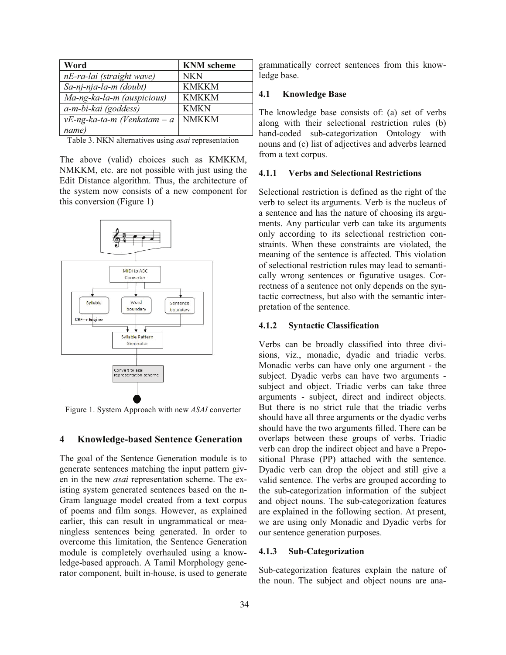| Word                           | <b>KNM</b> scheme |
|--------------------------------|-------------------|
| nE-ra-lai (straight wave)      | NKN               |
| Sa-nj-nja-la-m (doubt)         | <b>KMKKM</b>      |
| Ma-ng-ka-la-m (auspicious)     | <b>KMKKM</b>      |
| a-m-bi-kai (goddess)           | <b>KMKN</b>       |
| $vE$ -ng-ka-ta-m (Venkatam – a | <b>NMKKM</b>      |
| name)                          |                   |

Table 3. NKN alternatives using *asai* representation

The above (valid) choices such as KMKKM, NMKKM, etc. are not possible with just using the Edit Distance algorithm. Thus, the architecture of the system now consists of a new component for this conversion (Figure 1)



Figure 1. System Approach with new *ASAI* converter

### **4 Knowledge-based Sentence Generation**

The goal of the Sentence Generation module is to generate sentences matching the input pattern given in the new *asai* representation scheme. The existing system generated sentences based on the n-Gram language model created from a text corpus of poems and film songs. However, as explained earlier, this can result in ungrammatical or meaningless sentences being generated. In order to overcome this limitation, the Sentence Generation module is completely overhauled using a knowledge-based approach. A Tamil Morphology generator component, built in-house, is used to generate grammatically correct sentences from this knowledge base.

### **4.1 Knowledge Base**

The knowledge base consists of: (a) set of verbs along with their selectional restriction rules (b) hand-coded sub-categorization Ontology with nouns and (c) list of adjectives and adverbs learned from a text corpus.

### **4.1.1 Verbs and Selectional Restrictions**

Selectional restriction is defined as the right of the verb to select its arguments. Verb is the nucleus of a sentence and has the nature of choosing its arguments. Any particular verb can take its arguments only according to its selectional restriction constraints. When these constraints are violated, the meaning of the sentence is affected. This violation of selectional restriction rules may lead to semantically wrong sentences or figurative usages. Correctness of a sentence not only depends on the syntactic correctness, but also with the semantic interpretation of the sentence.

#### **4.1.2 Syntactic Classification**

Verbs can be broadly classified into three divisions, viz., monadic, dyadic and triadic verbs. Monadic verbs can have only one argument - the subject. Dyadic verbs can have two arguments subject and object. Triadic verbs can take three arguments - subject, direct and indirect objects. But there is no strict rule that the triadic verbs should have all three arguments or the dyadic verbs should have the two arguments filled. There can be overlaps between these groups of verbs. Triadic verb can drop the indirect object and have a Prepositional Phrase (PP) attached with the sentence. Dyadic verb can drop the object and still give a valid sentence. The verbs are grouped according to the sub-categorization information of the subject and object nouns. The sub-categorization features are explained in the following section. At present, we are using only Monadic and Dyadic verbs for our sentence generation purposes.

#### **4.1.3 Sub-Categorization**

Sub-categorization features explain the nature of the noun. The subject and object nouns are ana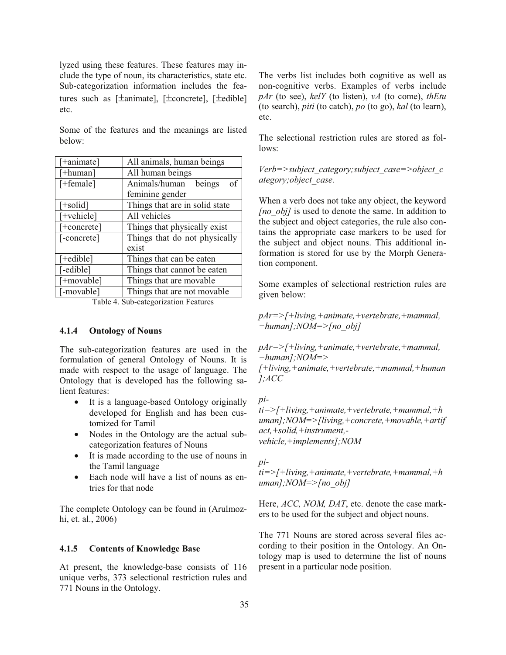lyzed using these features. These features may include the type of noun, its characteristics, state etc. Sub-categorization information includes the features such as [±animate], [±concrete], [±edible] etc.

Some of the features and the meanings are listed below:

| [+animate]            | All animals, human beings      |  |  |
|-----------------------|--------------------------------|--|--|
| $[+$ human]           | All human beings               |  |  |
| $[+female]$           | of<br>Animals/human<br>beings  |  |  |
|                       | feminine gender                |  |  |
| $[+ solid]$           | Things that are in solid state |  |  |
| [+vehicle]            | All vehicles                   |  |  |
| $[+ \text{concrete}]$ | Things that physically exist   |  |  |
| [-concrete]           | Things that do not physically  |  |  |
|                       | exist                          |  |  |
| [+edible]             | Things that can be eaten       |  |  |
| [-edible]             | Things that cannot be eaten    |  |  |
| [+movable]            | Things that are movable        |  |  |
| [-movable]            | Things that are not movable    |  |  |

Table 4. Sub-categorization Features

#### **4.1.4 Ontology of Nouns**

The sub-categorization features are used in the formulation of general Ontology of Nouns. It is made with respect to the usage of language. The Ontology that is developed has the following salient features:

- It is a language-based Ontology originally developed for English and has been customized for Tamil
- Nodes in the Ontology are the actual subcategorization features of Nouns
- It is made according to the use of nouns in the Tamil language
- Each node will have a list of nouns as entries for that node

The complete Ontology can be found in (Arulmozhi, et. al., 2006)

#### **4.1.5 Contents of Knowledge Base**

At present, the knowledge-base consists of 116 unique verbs, 373 selectional restriction rules and 771 Nouns in the Ontology.

The verbs list includes both cognitive as well as non-cognitive verbs. Examples of verbs include *pAr* (to see), *kelY* (to listen), *vA* (to come), *thEtu* (to search), *piti* (to catch), *po* (to go), *kal* (to learn), etc.

The selectional restriction rules are stored as follows:

*Verb=>subject\_category;subject\_case=>object\_c ategory;object\_case.* 

When a verb does not take any object, the keyword *[no\_obj]* is used to denote the same. In addition to the subject and object categories, the rule also contains the appropriate case markers to be used for the subject and object nouns. This additional information is stored for use by the Morph Generation component.

Some examples of selectional restriction rules are given below:

*pAr=>[+living,+animate,+vertebrate,+mammal, +human];NOM=>[no\_obj]* 

*pAr=>[+living,+animate,+vertebrate,+mammal, +human];NOM=>* 

*[+living,+animate,+vertebrate,+mammal,+human ];ACC* 

*pi-*

*ti=>[+living,+animate,+vertebrate,+mammal,+h uman];NOM=>[living,+concrete,+movable,+artif act,+solid,+instrument, vehicle,+implements];NOM* 

*pi-*

*ti=>[+living,+animate,+vertebrate,+mammal,+h uman];NOM=>[no\_obj]*

Here, *ACC*, *NOM*, *DAT*, etc. denote the case markers to be used for the subject and object nouns.

The 771 Nouns are stored across several files according to their position in the Ontology. An Ontology map is used to determine the list of nouns present in a particular node position.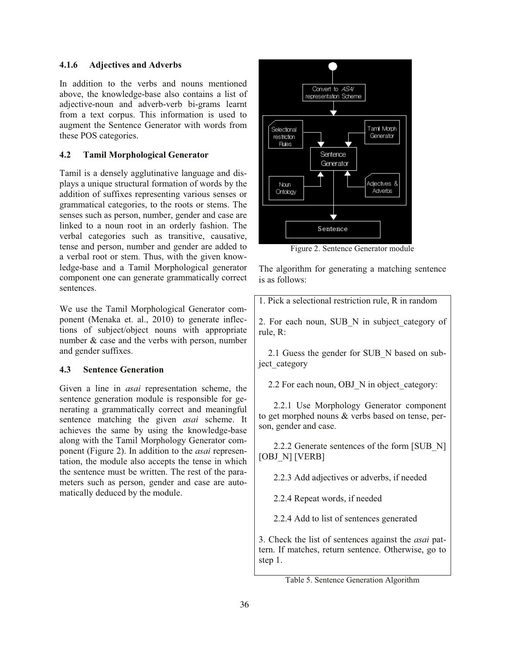### **4.1.6 Adjectives and Adverbs**

In addition to the verbs and nouns mentioned above, the knowledge-base also contains a list of adjective-noun and adverb-verb bi-grams learnt from a text corpus. This information is used to augment the Sentence Generator with words from these POS categories.

# **4.2 Tamil Morphological Generator**

Tamil is a densely agglutinative language and displays a unique structural formation of words by the addition of suffixes representing various senses or grammatical categories, to the roots or stems. The senses such as person, number, gender and case are linked to a noun root in an orderly fashion. The verbal categories such as transitive, causative, tense and person, number and gender are added to a verbal root or stem. Thus, with the given knowledge-base and a Tamil Morphological generator component one can generate grammatically correct sentences.

We use the Tamil Morphological Generator component (Menaka et. al., 2010) to generate inflections of subject/object nouns with appropriate number & case and the verbs with person, number and gender suffixes.

# **4.3 Sentence Generation**

Given a line in *asai* representation scheme, the sentence generation module is responsible for generating a grammatically correct and meaningful sentence matching the given *asai* scheme. It achieves the same by using the knowledge-base along with the Tamil Morphology Generator component (Figure 2). In addition to the *asai* representation, the module also accepts the tense in which the sentence must be written. The rest of the parameters such as person, gender and case are automatically deduced by the module.



Figure 2. Sentence Generator module

The algorithm for generating a matching sentence is as follows:

1. Pick a selectional restriction rule, R in random

2. For each noun, SUB\_N in subject\_category of rule, R:

2.1 Guess the gender for SUB\_N based on subject category

2.2 For each noun, OBJ N in object category:

2.2.1 Use Morphology Generator component to get morphed nouns & verbs based on tense, person, gender and case.

2.2.2 Generate sentences of the form [SUB\_N] [OBJ\_N] [VERB]

2.2.3 Add adjectives or adverbs, if needed

2.2.4 Repeat words, if needed

2.2.4 Add to list of sentences generated

3. Check the list of sentences against the *asai* pattern. If matches, return sentence. Otherwise, go to step 1.

Table 5. Sentence Generation Algorithm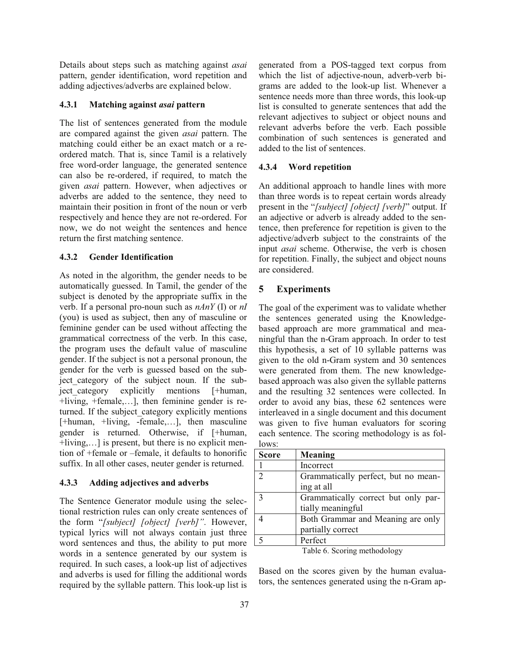Details about steps such as matching against *asai* pattern, gender identification, word repetition and adding adjectives/adverbs are explained below.

# **4.3.1 Matching against** *asai* **pattern**

The list of sentences generated from the module are compared against the given *asai* pattern. The matching could either be an exact match or a reordered match. That is, since Tamil is a relatively free word-order language, the generated sentence can also be re-ordered, if required, to match the given *asai* pattern. However, when adjectives or adverbs are added to the sentence, they need to maintain their position in front of the noun or verb respectively and hence they are not re-ordered. For now, we do not weight the sentences and hence return the first matching sentence.

# **4.3.2 Gender Identification**

As noted in the algorithm, the gender needs to be automatically guessed. In Tamil, the gender of the subject is denoted by the appropriate suffix in the verb. If a personal pro-noun such as *nAnY* (I) or *nI* (you) is used as subject, then any of masculine or feminine gender can be used without affecting the grammatical correctness of the verb. In this case, the program uses the default value of masculine gender. If the subject is not a personal pronoun, the gender for the verb is guessed based on the subject category of the subject noun. If the subject category explicitly mentions [+human, +living, +female,…], then feminine gender is returned. If the subject category explicitly mentions [+human, +living, -female,…], then masculine gender is returned. Otherwise, if [+human, +living,…] is present, but there is no explicit mention of +female or –female, it defaults to honorific suffix. In all other cases, neuter gender is returned.

# **4.3.3 Adding adjectives and adverbs**

The Sentence Generator module using the selectional restriction rules can only create sentences of the form "*[subject] [object] [verb]"*. However, typical lyrics will not always contain just three word sentences and thus, the ability to put more words in a sentence generated by our system is required. In such cases, a look-up list of adjectives and adverbs is used for filling the additional words required by the syllable pattern. This look-up list is generated from a POS-tagged text corpus from which the list of adjective-noun, adverb-verb bigrams are added to the look-up list. Whenever a sentence needs more than three words, this look-up list is consulted to generate sentences that add the relevant adjectives to subject or object nouns and relevant adverbs before the verb. Each possible combination of such sentences is generated and added to the list of sentences.

# **4.3.4 Word repetition**

An additional approach to handle lines with more than three words is to repeat certain words already present in the "*[subject] [object] [verb]*" output. If an adjective or adverb is already added to the sentence, then preference for repetition is given to the adjective/adverb subject to the constraints of the input *asai* scheme. Otherwise, the verb is chosen for repetition. Finally, the subject and object nouns are considered.

# **5 Experiments**

The goal of the experiment was to validate whether the sentences generated using the Knowledgebased approach are more grammatical and meaningful than the n-Gram approach. In order to test this hypothesis, a set of 10 syllable patterns was given to the old n-Gram system and 30 sentences were generated from them. The new knowledgebased approach was also given the syllable patterns and the resulting 32 sentences were collected. In order to avoid any bias, these 62 sentences were interleaved in a single document and this document was given to five human evaluators for scoring each sentence. The scoring methodology is as follows:

| <b>Score</b>                 | Meaning                                                  |
|------------------------------|----------------------------------------------------------|
|                              | Incorrect                                                |
| $\overline{2}$               | Grammatically perfect, but no mean-<br>ing at all        |
| $\mathbf{c}$                 | Grammatically correct but only par-<br>tially meaningful |
|                              | Both Grammar and Meaning are only<br>partially correct   |
| $\sim$                       | Perfect                                                  |
| Table 6. Scoring methodology |                                                          |

Based on the scores given by the human evaluators, the sentences generated using the n-Gram ap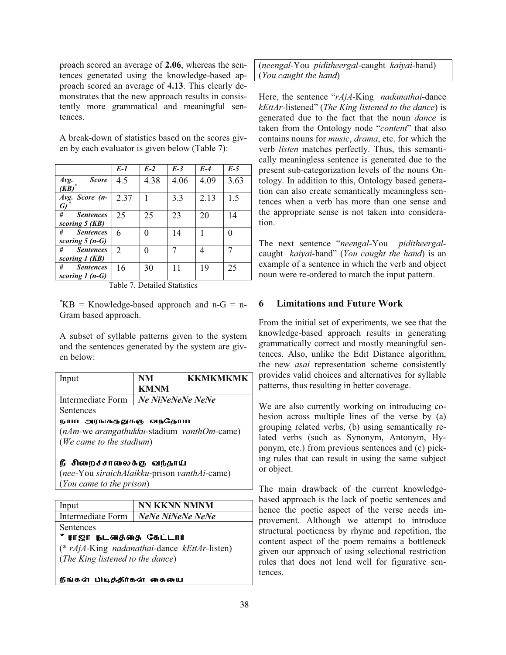proach scored an average of **2.06**, whereas the sentences generated using the knowledge-based approach scored an average of **4.13**. This clearly demonstrates that the new approach results in consistently more grammatical and meaningful sentences.

A break-down of statistics based on the scores given by each evaluator is given below (Table 7):

|                                           | $E-1$          | $E-2$ | $E-3$ | $E-4$ | $E-5$ |
|-------------------------------------------|----------------|-------|-------|-------|-------|
| <b>Score</b><br>Avg.<br>$(KB)^*$          | 4.5            | 4.38  | 4.06  | 4.09  | 3.63  |
| Avg. Score (n-<br>G)                      | 2.37           |       | 3.3   | 2.13  | 1.5   |
| #<br><b>Sentences</b><br>scoring 5 (KB)   | 25             | 25    | 23    | 20    | 14    |
| #<br><b>Sentences</b><br>scoring $5(n-G)$ | 6              |       | 14    |       |       |
| #<br><b>Sentences</b><br>scoring 1 (KB)   | $\overline{2}$ |       |       | 4     |       |
| #<br><b>Sentences</b><br>scoring $1(n-G)$ | 16             | 30    |       | 19    | 25    |

Table 7. Detailed Statistics

*\**KB = Knowledge-based approach and n-G = n-Gram based approach.

A subset of syllable patterns given to the system and the sentences generated by the system are given below:

| Input                                        | NM                  | <b>KKMKMKMK</b> |  |
|----------------------------------------------|---------------------|-----------------|--|
|                                              | <b>KMNM</b>         |                 |  |
| Intermediate Form                            | Ne NiNeNeNe NeNe    |                 |  |
| Sentences                                    |                     |                 |  |
| நாம் அரங்கத்துக்கு வந்தோம்                   |                     |                 |  |
| (nAm-we arangathukku-stadium vanthOm-came)   |                     |                 |  |
| (We came to the stadium)                     |                     |                 |  |
| நீ சிறைச்சாலைக்கு வந்தாய்                    |                     |                 |  |
| (nee-You siraichAlaikku-prison vanthAi-came) |                     |                 |  |
| (You came to the prison)                     |                     |                 |  |
|                                              |                     |                 |  |
| Input                                        | <b>NN KKNN NMNM</b> |                 |  |
| <b>Intermediate Form</b>                     | NeNe NiNeNe NeNe    |                 |  |
| Sentences                                    |                     |                 |  |
| நடனத்தை கேட்டார்<br>ராஜா                     |                     |                 |  |

(\* *rAjA-*King *nadanathai-*dance *kEttAr-*listen) (*The King listened to the dance*)

நீங்கள் பிடித்தீர்கள் கையை

(*neengal-*You *piditheergal-*caught *kaiyai-*hand) (*You caught the hand*)

Here, the sentence "*rAjA-*King *nadanathai-*dance *kEttAr-*listened" (*The King listened to the dance*) is generated due to the fact that the noun *dance* is taken from the Ontology node "*content*" that also contains nouns for *music*, *drama*, etc. for which the verb *listen* matches perfectly. Thus, this semantically meaningless sentence is generated due to the present sub-categorization levels of the nouns Ontology. In addition to this, Ontology based generation can also create semantically meaningless sentences when a verb has more than one sense and the appropriate sense is not taken into consideration.

The next sentence "*neengal-*You *piditheergal*caught *kaiyai-*hand" (*You caught the hand*) is an example of a sentence in which the verb and object noun were re-ordered to match the input pattern.

# **6 Limitations and Future Work**

From the initial set of experiments, we see that the knowledge-based approach results in generating grammatically correct and mostly meaningful sentences. Also, unlike the Edit Distance algorithm, the new *asai* representation scheme consistently provides valid choices and alternatives for syllable patterns, thus resulting in better coverage.

We are also currently working on introducing cohesion across multiple lines of the verse by (a) grouping related verbs, (b) using semantically related verbs (such as Synonym, Antonym, Hyponym, etc.) from previous sentences and (c) picking rules that can result in using the same subject or object.

The main drawback of the current knowledgebased approach is the lack of poetic sentences and hence the poetic aspect of the verse needs improvement. Although we attempt to introduce structural poeticness by rhyme and repetition, the content aspect of the poem remains a bottleneck given our approach of using selectional restriction rules that does not lend well for figurative sentences.